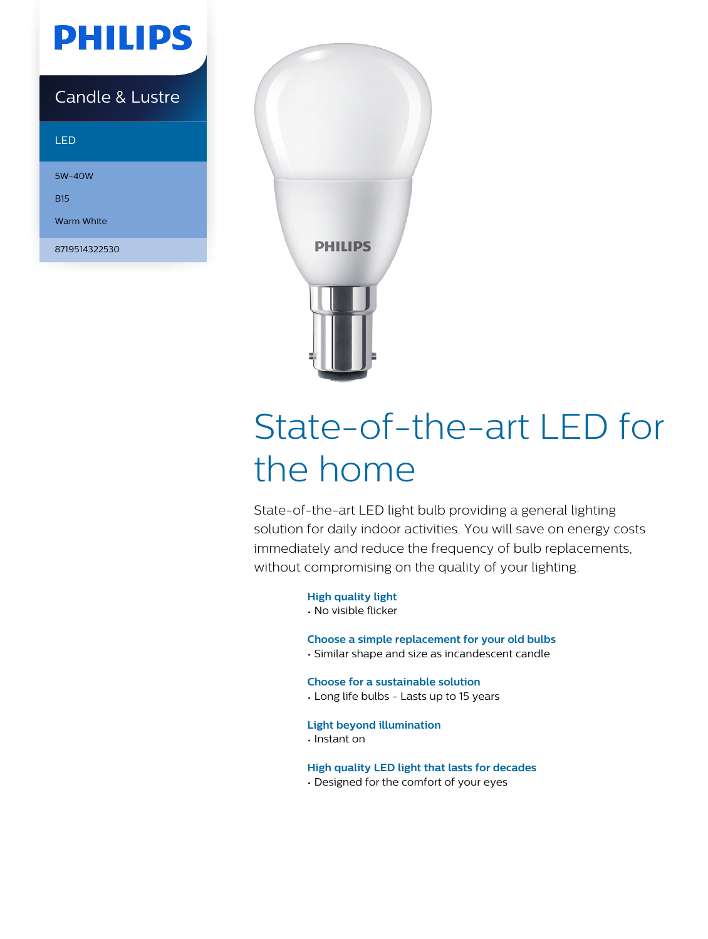## **PHILIPS**

### Candle & Lustre

#### LED

5W-40W

B15

Warm White

8719514322530



# State-of-the-art LED for the home

State-of-the-art LED light bulb providing a general lighting solution for daily indoor activities. You will save on energy costs immediately and reduce the frequency of bulb replacements, without compromising on the quality of your lighting.

#### **High quality light**

• No visible flicker

#### **Choose a simple replacement for your old bulbs**

• Similar shape and size as incandescent candle

**Choose for a sustainable solution**

• Long life bulbs - Lasts up to 15 years

#### **Light beyond illumination**

• Instant on

**High quality LED light that lasts for decades**

• Designed for the comfort of your eyes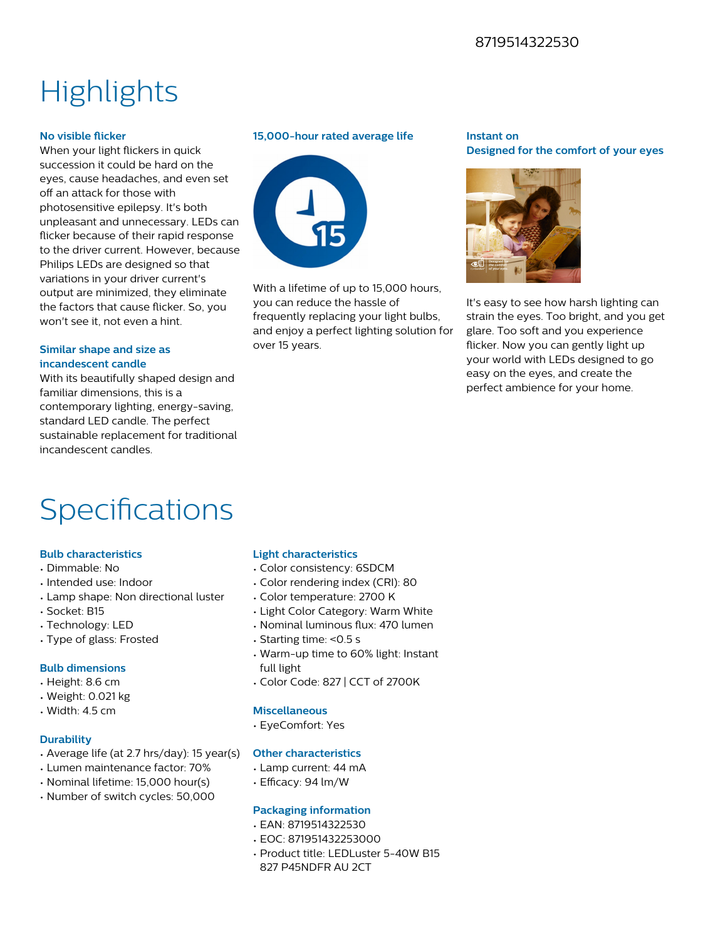#### 8719514322530

## **Highlights**

#### **No visible flicker**

When your light flickers in quick succession it could be hard on the eyes, cause headaches, and even set off an attack for those with photosensitive epilepsy. It's both unpleasant and unnecessary. LEDs can flicker because of their rapid response to the driver current. However, because Philips LEDs are designed so that variations in your driver current's output are minimized, they eliminate the factors that cause flicker. So, you won't see it, not even a hint.

#### **Similar shape and size as incandescent candle**

With its beautifully shaped design and familiar dimensions, this is a contemporary lighting, energy-saving, standard LED candle. The perfect sustainable replacement for traditional incandescent candles.

#### **15,000-hour rated average life**



With a lifetime of up to 15,000 hours. you can reduce the hassle of frequently replacing your light bulbs, and enjoy a perfect lighting solution for over 15 years.

#### **Instant on Designed for the comfort of your eyes**



It's easy to see how harsh lighting can strain the eyes. Too bright, and you get glare. Too soft and you experience flicker. Now you can gently light up your world with LEDs designed to go easy on the eyes, and create the perfect ambience for your home.

## Specifications

#### **Bulb characteristics**

- Dimmable: No
- Intended use: Indoor
- Lamp shape: Non directional luster
- Socket: B15
- Technology: LED
- Type of glass: Frosted

#### **Bulb dimensions**

- Height: 8.6 cm
- Weight: 0.021 kg
- Width: 4.5 cm

#### **Durability**

- Average life (at 2.7 hrs/day): 15 year(s)
- Lumen maintenance factor: 70%
- Nominal lifetime: 15,000 hour(s)
- Number of switch cycles: 50,000

#### **Light characteristics**

- Color consistency: 6SDCM
- Color rendering index (CRI): 80
- Color temperature: 2700 K
- Light Color Category: Warm White
- Nominal luminous flux: 470 lumen
- Starting time: <0.5 s
- Warm-up time to 60% light: Instant full light
- Color Code: 827 | CCT of 2700K

#### **Miscellaneous**

• EyeComfort: Yes

#### **Other characteristics**

- Lamp current: 44 mA
- $\cdot$  Efficacy: 94 lm/W

#### **Packaging information**

- EAN: 8719514322530
- EOC: 871951432253000
- Product title: LEDLuster 5-40W B15
- 827 P45NDFR AU 2CT